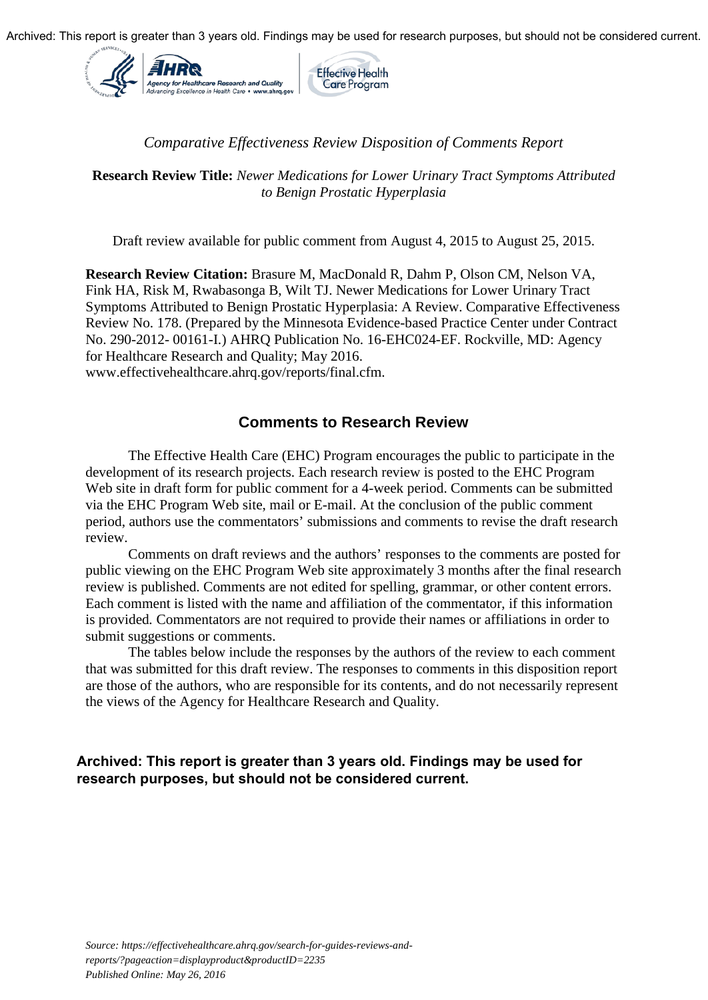

## *Comparative Effectiveness Review Disposition of Comments Report*

**Research Review Title:** *Newer Medications for Lower Urinary Tract Symptoms Attributed to Benign Prostatic Hyperplasia* 

Draft review available for public comment from August 4, 2015 to August 25, 2015.

**Research Review Citation:** Brasure M, MacDonald R, Dahm P, Olson CM, Nelson VA, Fink HA, Risk M, Rwabasonga B, Wilt TJ. Newer Medications for Lower Urinary Tract Symptoms Attributed to Benign Prostatic Hyperplasia: A Review. Comparative Effectiveness Review No. 178. (Prepared by the Minnesota Evidence-based Practice Center under Contract No. 290-2012- 00161-I.) AHRQ Publication No. 16-EHC024-EF. Rockville, MD: Agency for Healthcare Research and Quality; May 2016. www.effectivehealthcare.ahrq.gov/reports/final.cfm.

## **Comments to Research Review**

The Effective Health Care (EHC) Program encourages the public to participate in the development of its research projects. Each research review is posted to the EHC Program Web site in draft form for public comment for a 4-week period. Comments can be submitted via the EHC Program Web site, mail or E-mail. At the conclusion of the public comment period, authors use the commentators' submissions and comments to revise the draft research review.

Comments on draft reviews and the authors' responses to the comments are posted for public viewing on the EHC Program Web site approximately 3 months after the final research review is published. Comments are not edited for spelling, grammar, or other content errors. Each comment is listed with the name and affiliation of the commentator, if this information is provided*.* Commentators are not required to provide their names or affiliations in order to submit suggestions or comments.

The tables below include the responses by the authors of the review to each comment that was submitted for this draft review. The responses to comments in this disposition report are those of the authors, who are responsible for its contents, and do not necessarily represent the views of the Agency for Healthcare Research and Quality.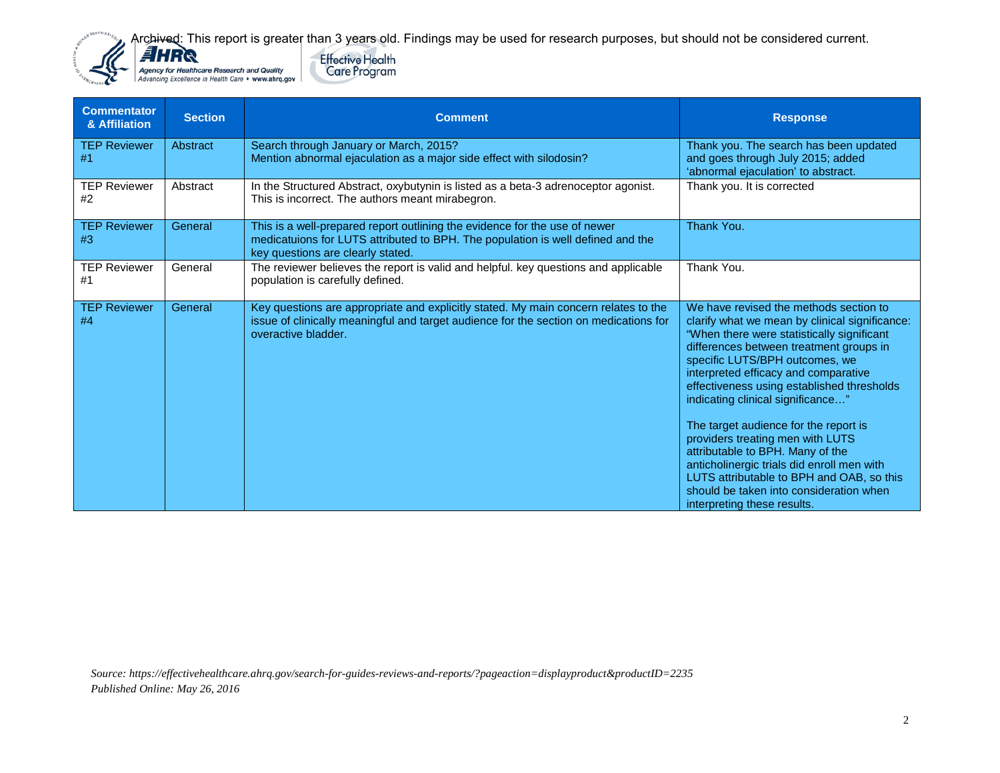



| <b>Commentator</b><br>& Affiliation | <b>Section</b> | <b>Comment</b>                                                                                                                                                                                      | <b>Response</b>                                                                                                                                                                                                                                                                                                                                                                                                                                                                                                                                                                                                                      |
|-------------------------------------|----------------|-----------------------------------------------------------------------------------------------------------------------------------------------------------------------------------------------------|--------------------------------------------------------------------------------------------------------------------------------------------------------------------------------------------------------------------------------------------------------------------------------------------------------------------------------------------------------------------------------------------------------------------------------------------------------------------------------------------------------------------------------------------------------------------------------------------------------------------------------------|
| <b>TEP Reviewer</b><br>#1           | Abstract       | Search through January or March, 2015?<br>Mention abnormal ejaculation as a major side effect with silodosin?                                                                                       | Thank you. The search has been updated<br>and goes through July 2015; added<br>'abnormal ejaculation' to abstract.                                                                                                                                                                                                                                                                                                                                                                                                                                                                                                                   |
| <b>TEP Reviewer</b><br>#2           | Abstract       | In the Structured Abstract, oxybutynin is listed as a beta-3 adrenoceptor agonist.<br>This is incorrect. The authors meant mirabegron.                                                              | Thank you. It is corrected                                                                                                                                                                                                                                                                                                                                                                                                                                                                                                                                                                                                           |
| <b>TEP Reviewer</b><br>#3           | General        | This is a well-prepared report outlining the evidence for the use of newer<br>medicatuions for LUTS attributed to BPH. The population is well defined and the<br>key questions are clearly stated.  | Thank You.                                                                                                                                                                                                                                                                                                                                                                                                                                                                                                                                                                                                                           |
| <b>TEP Reviewer</b><br>#1           | General        | The reviewer believes the report is valid and helpful. key questions and applicable<br>population is carefully defined.                                                                             | Thank You.                                                                                                                                                                                                                                                                                                                                                                                                                                                                                                                                                                                                                           |
| <b>TEP Reviewer</b><br>#4           | General        | Key questions are appropriate and explicitly stated. My main concern relates to the<br>issue of clinically meaningful and target audience for the section on medications for<br>overactive bladder. | We have revised the methods section to<br>clarify what we mean by clinical significance:<br>"When there were statistically significant<br>differences between treatment groups in<br>specific LUTS/BPH outcomes, we<br>interpreted efficacy and comparative<br>effectiveness using established thresholds<br>indicating clinical significance"<br>The target audience for the report is<br>providers treating men with LUTS<br>attributable to BPH. Many of the<br>anticholinergic trials did enroll men with<br>LUTS attributable to BPH and OAB, so this<br>should be taken into consideration when<br>interpreting these results. |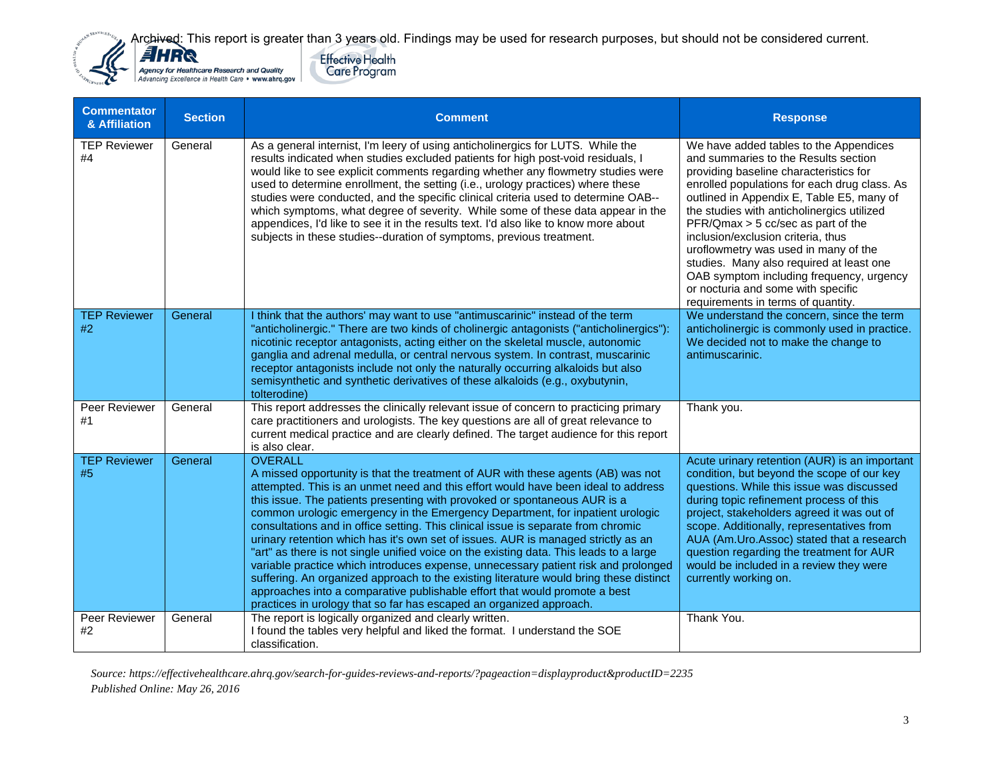



| <b>Commentator</b><br>& Affiliation | <b>Section</b> | <b>Comment</b>                                                                                                                                                                                                                                                                                                                                                                                                                                                                                                                                                                                                                                                                                                                                                                                                                                                                                                                                                 | <b>Response</b>                                                                                                                                                                                                                                                                                                                                                                                                                                                                                                                                             |
|-------------------------------------|----------------|----------------------------------------------------------------------------------------------------------------------------------------------------------------------------------------------------------------------------------------------------------------------------------------------------------------------------------------------------------------------------------------------------------------------------------------------------------------------------------------------------------------------------------------------------------------------------------------------------------------------------------------------------------------------------------------------------------------------------------------------------------------------------------------------------------------------------------------------------------------------------------------------------------------------------------------------------------------|-------------------------------------------------------------------------------------------------------------------------------------------------------------------------------------------------------------------------------------------------------------------------------------------------------------------------------------------------------------------------------------------------------------------------------------------------------------------------------------------------------------------------------------------------------------|
| <b>TEP Reviewer</b><br>#4           | General        | As a general internist, I'm leery of using anticholinergics for LUTS. While the<br>results indicated when studies excluded patients for high post-void residuals, I<br>would like to see explicit comments regarding whether any flowmetry studies were<br>used to determine enrollment, the setting (i.e., urology practices) where these<br>studies were conducted, and the specific clinical criteria used to determine OAB--<br>which symptoms, what degree of severity. While some of these data appear in the<br>appendices, I'd like to see it in the results text. I'd also like to know more about<br>subjects in these studies--duration of symptoms, previous treatment.                                                                                                                                                                                                                                                                            | We have added tables to the Appendices<br>and summaries to the Results section<br>providing baseline characteristics for<br>enrolled populations for each drug class. As<br>outlined in Appendix E, Table E5, many of<br>the studies with anticholinergics utilized<br>PFR/Qmax > 5 cc/sec as part of the<br>inclusion/exclusion criteria, thus<br>uroflowmetry was used in many of the<br>studies. Many also required at least one<br>OAB symptom including frequency, urgency<br>or nocturia and some with specific<br>requirements in terms of quantity. |
| <b>TEP Reviewer</b><br>#2           | General        | I think that the authors' may want to use "antimuscarinic" instead of the term<br>"anticholinergic." There are two kinds of cholinergic antagonists ("anticholinergics"):<br>nicotinic receptor antagonists, acting either on the skeletal muscle, autonomic<br>ganglia and adrenal medulla, or central nervous system. In contrast, muscarinic<br>receptor antagonists include not only the naturally occurring alkaloids but also<br>semisynthetic and synthetic derivatives of these alkaloids (e.g., oxybutynin,<br>tolterodine)                                                                                                                                                                                                                                                                                                                                                                                                                           | We understand the concern, since the term<br>anticholinergic is commonly used in practice.<br>We decided not to make the change to<br>antimuscarinic.                                                                                                                                                                                                                                                                                                                                                                                                       |
| Peer Reviewer<br>#1                 | General        | This report addresses the clinically relevant issue of concern to practicing primary<br>care practitioners and urologists. The key questions are all of great relevance to<br>current medical practice and are clearly defined. The target audience for this report<br>is also clear.                                                                                                                                                                                                                                                                                                                                                                                                                                                                                                                                                                                                                                                                          | Thank you.                                                                                                                                                                                                                                                                                                                                                                                                                                                                                                                                                  |
| <b>TEP Reviewer</b><br>#5           | General        | <b>OVERALL</b><br>A missed opportunity is that the treatment of AUR with these agents (AB) was not<br>attempted. This is an unmet need and this effort would have been ideal to address<br>this issue. The patients presenting with provoked or spontaneous AUR is a<br>common urologic emergency in the Emergency Department, for inpatient urologic<br>consultations and in office setting. This clinical issue is separate from chromic<br>urinary retention which has it's own set of issues. AUR is managed strictly as an<br>"art" as there is not single unified voice on the existing data. This leads to a large<br>variable practice which introduces expense, unnecessary patient risk and prolonged<br>suffering. An organized approach to the existing literature would bring these distinct<br>approaches into a comparative publishable effort that would promote a best<br>practices in urology that so far has escaped an organized approach. | Acute urinary retention (AUR) is an important<br>condition, but beyond the scope of our key<br>questions. While this issue was discussed<br>during topic refinement process of this<br>project, stakeholders agreed it was out of<br>scope. Additionally, representatives from<br>AUA (Am.Uro.Assoc) stated that a research<br>question regarding the treatment for AUR<br>would be included in a review they were<br>currently working on.                                                                                                                 |
| Peer Reviewer<br>#2                 | General        | The report is logically organized and clearly written.<br>I found the tables very helpful and liked the format. I understand the SOE<br>classification.                                                                                                                                                                                                                                                                                                                                                                                                                                                                                                                                                                                                                                                                                                                                                                                                        | Thank You.                                                                                                                                                                                                                                                                                                                                                                                                                                                                                                                                                  |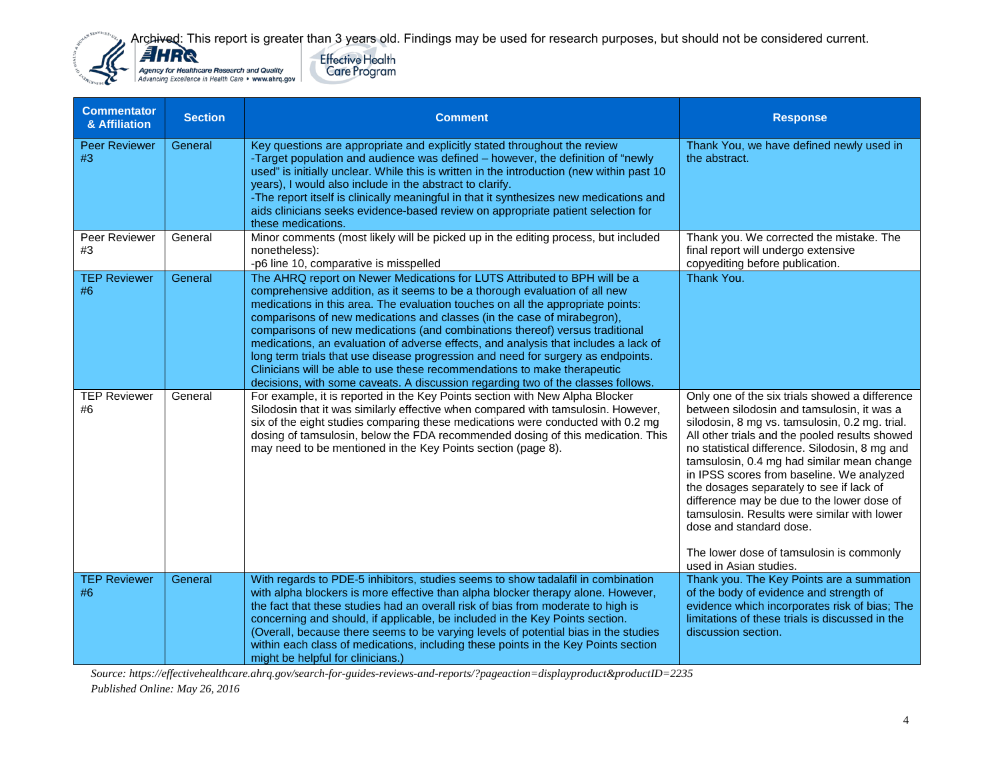



| <b>Commentator</b><br>& Affiliation | <b>Section</b> | <b>Comment</b>                                                                                                                                                                                                                                                                                                                                                                                                                                                                                                                                                                                                                                                                                                                                   | <b>Response</b>                                                                                                                                                                                                                                                                                                                                                                                                                                                                                                                                                                         |
|-------------------------------------|----------------|--------------------------------------------------------------------------------------------------------------------------------------------------------------------------------------------------------------------------------------------------------------------------------------------------------------------------------------------------------------------------------------------------------------------------------------------------------------------------------------------------------------------------------------------------------------------------------------------------------------------------------------------------------------------------------------------------------------------------------------------------|-----------------------------------------------------------------------------------------------------------------------------------------------------------------------------------------------------------------------------------------------------------------------------------------------------------------------------------------------------------------------------------------------------------------------------------------------------------------------------------------------------------------------------------------------------------------------------------------|
| <b>Peer Reviewer</b><br>#3          | General        | Key questions are appropriate and explicitly stated throughout the review<br>-Target population and audience was defined - however, the definition of "newly<br>used" is initially unclear. While this is written in the introduction (new within past 10<br>years), I would also include in the abstract to clarify.<br>-The report itself is clinically meaningful in that it synthesizes new medications and<br>aids clinicians seeks evidence-based review on appropriate patient selection for<br>these medications.                                                                                                                                                                                                                        | Thank You, we have defined newly used in<br>the abstract.                                                                                                                                                                                                                                                                                                                                                                                                                                                                                                                               |
| Peer Reviewer<br>#3                 | General        | Minor comments (most likely will be picked up in the editing process, but included<br>nonetheless):<br>-p6 line 10, comparative is misspelled                                                                                                                                                                                                                                                                                                                                                                                                                                                                                                                                                                                                    | Thank you. We corrected the mistake. The<br>final report will undergo extensive<br>copyediting before publication.                                                                                                                                                                                                                                                                                                                                                                                                                                                                      |
| <b>TEP Reviewer</b><br>#6           | General        | The AHRQ report on Newer Medications for LUTS Attributed to BPH will be a<br>comprehensive addition, as it seems to be a thorough evaluation of all new<br>medications in this area. The evaluation touches on all the appropriate points:<br>comparisons of new medications and classes (in the case of mirabegron),<br>comparisons of new medications (and combinations thereof) versus traditional<br>medications, an evaluation of adverse effects, and analysis that includes a lack of<br>long term trials that use disease progression and need for surgery as endpoints.<br>Clinicians will be able to use these recommendations to make therapeutic<br>decisions, with some caveats. A discussion regarding two of the classes follows. | Thank You.                                                                                                                                                                                                                                                                                                                                                                                                                                                                                                                                                                              |
| <b>TEP Reviewer</b><br>#6           | General        | For example, it is reported in the Key Points section with New Alpha Blocker<br>Silodosin that it was similarly effective when compared with tamsulosin. However,<br>six of the eight studies comparing these medications were conducted with 0.2 mg<br>dosing of tamsulosin, below the FDA recommended dosing of this medication. This<br>may need to be mentioned in the Key Points section (page 8).                                                                                                                                                                                                                                                                                                                                          | Only one of the six trials showed a difference<br>between silodosin and tamsulosin, it was a<br>silodosin, 8 mg vs. tamsulosin, 0.2 mg. trial.<br>All other trials and the pooled results showed<br>no statistical difference. Silodosin, 8 mg and<br>tamsulosin, 0.4 mg had similar mean change<br>in IPSS scores from baseline. We analyzed<br>the dosages separately to see if lack of<br>difference may be due to the lower dose of<br>tamsulosin. Results were similar with lower<br>dose and standard dose.<br>The lower dose of tamsulosin is commonly<br>used in Asian studies. |
| <b>TEP Reviewer</b><br>#6           | General        | With regards to PDE-5 inhibitors, studies seems to show tadalafil in combination<br>with alpha blockers is more effective than alpha blocker therapy alone. However,<br>the fact that these studies had an overall risk of bias from moderate to high is<br>concerning and should, if applicable, be included in the Key Points section.<br>(Overall, because there seems to be varying levels of potential bias in the studies<br>within each class of medications, including these points in the Key Points section<br>might be helpful for clinicians.)                                                                                                                                                                                       | Thank you. The Key Points are a summation<br>of the body of evidence and strength of<br>evidence which incorporates risk of bias; The<br>limitations of these trials is discussed in the<br>discussion section.                                                                                                                                                                                                                                                                                                                                                                         |

*Source: https://effectivehealthcare.ahrq.gov/search-for-guides-reviews-and-reports/?pageaction=displayproduct&productID=2235* 

*Published Online: May 26, 2016*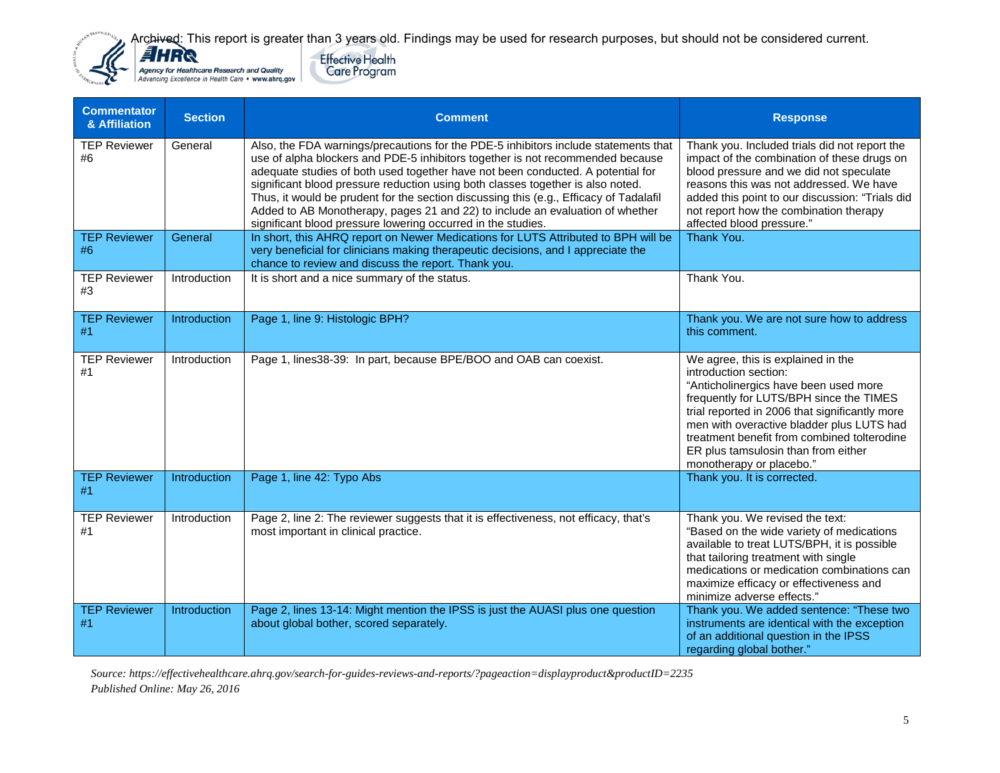Effective Health<br>Care Program



| <b>Commentator</b><br>& Affiliation | <b>Section</b> | <b>Comment</b>                                                                                                                                                                                                                                                                                                                                                                                                                                                                                                                                                                         | <b>Response</b>                                                                                                                                                                                                                                                                                                                                                  |
|-------------------------------------|----------------|----------------------------------------------------------------------------------------------------------------------------------------------------------------------------------------------------------------------------------------------------------------------------------------------------------------------------------------------------------------------------------------------------------------------------------------------------------------------------------------------------------------------------------------------------------------------------------------|------------------------------------------------------------------------------------------------------------------------------------------------------------------------------------------------------------------------------------------------------------------------------------------------------------------------------------------------------------------|
| <b>TEP Reviewer</b><br>#6           | General        | Also, the FDA warnings/precautions for the PDE-5 inhibitors include statements that<br>use of alpha blockers and PDE-5 inhibitors together is not recommended because<br>adequate studies of both used together have not been conducted. A potential for<br>significant blood pressure reduction using both classes together is also noted.<br>Thus, it would be prudent for the section discussing this (e.g., Efficacy of Tadalafil<br>Added to AB Monotherapy, pages 21 and 22) to include an evaluation of whether<br>significant blood pressure lowering occurred in the studies. | Thank you. Included trials did not report the<br>impact of the combination of these drugs on<br>blood pressure and we did not speculate<br>reasons this was not addressed. We have<br>added this point to our discussion: "Trials did<br>not report how the combination therapy<br>affected blood pressure."                                                     |
| <b>TEP Reviewer</b><br>#6           | General        | In short, this AHRQ report on Newer Medications for LUTS Attributed to BPH will be<br>very beneficial for clinicians making therapeutic decisions, and I appreciate the<br>chance to review and discuss the report. Thank you.                                                                                                                                                                                                                                                                                                                                                         | Thank You.                                                                                                                                                                                                                                                                                                                                                       |
| <b>TEP Reviewer</b><br>#3           | Introduction   | It is short and a nice summary of the status.                                                                                                                                                                                                                                                                                                                                                                                                                                                                                                                                          | Thank You.                                                                                                                                                                                                                                                                                                                                                       |
| <b>TEP Reviewer</b><br>#1           | Introduction   | Page 1, line 9: Histologic BPH?                                                                                                                                                                                                                                                                                                                                                                                                                                                                                                                                                        | Thank you. We are not sure how to address<br>this comment.                                                                                                                                                                                                                                                                                                       |
| <b>TEP Reviewer</b><br>#1           | Introduction   | Page 1, lines38-39: In part, because BPE/BOO and OAB can coexist.                                                                                                                                                                                                                                                                                                                                                                                                                                                                                                                      | We agree, this is explained in the<br>introduction section:<br>"Anticholinergics have been used more<br>frequently for LUTS/BPH since the TIMES<br>trial reported in 2006 that significantly more<br>men with overactive bladder plus LUTS had<br>treatment benefit from combined tolterodine<br>ER plus tamsulosin than from either<br>monotherapy or placebo." |
| <b>TEP Reviewer</b><br>#1           | Introduction   | Page 1, line 42: Typo Abs                                                                                                                                                                                                                                                                                                                                                                                                                                                                                                                                                              | Thank you. It is corrected.                                                                                                                                                                                                                                                                                                                                      |
| <b>TEP Reviewer</b><br>#1           | Introduction   | Page 2, line 2: The reviewer suggests that it is effectiveness, not efficacy, that's<br>most important in clinical practice.                                                                                                                                                                                                                                                                                                                                                                                                                                                           | Thank you. We revised the text:<br>"Based on the wide variety of medications<br>available to treat LUTS/BPH, it is possible<br>that tailoring treatment with single<br>medications or medication combinations can<br>maximize efficacy or effectiveness and<br>minimize adverse effects."                                                                        |
| <b>TEP Reviewer</b><br>#1           | Introduction   | Page 2, lines 13-14: Might mention the IPSS is just the AUASI plus one question<br>about global bother, scored separately.                                                                                                                                                                                                                                                                                                                                                                                                                                                             | Thank you. We added sentence: "These two<br>instruments are identical with the exception<br>of an additional question in the IPSS<br>regarding global bother."                                                                                                                                                                                                   |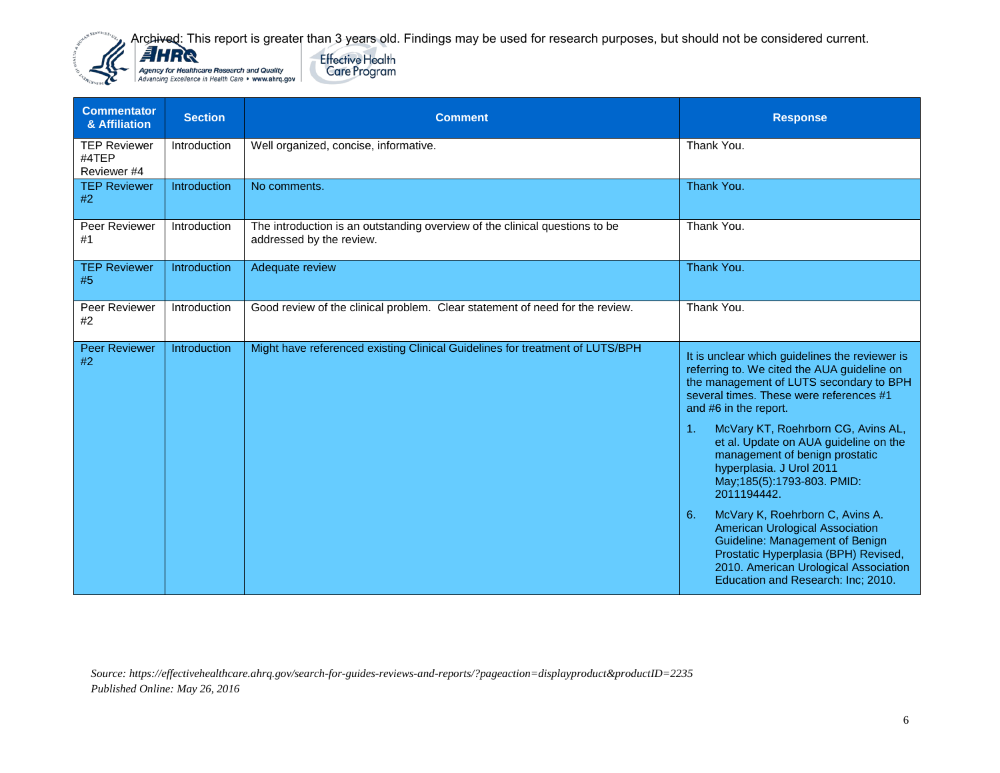



| <b>Commentator</b><br>& Affiliation         | <b>Section</b> | <b>Comment</b>                                                                                          | <b>Response</b>                                                                                                                                                                                                                                                                                                                                                                                                                                                                                                                                                                                                                                                  |
|---------------------------------------------|----------------|---------------------------------------------------------------------------------------------------------|------------------------------------------------------------------------------------------------------------------------------------------------------------------------------------------------------------------------------------------------------------------------------------------------------------------------------------------------------------------------------------------------------------------------------------------------------------------------------------------------------------------------------------------------------------------------------------------------------------------------------------------------------------------|
| <b>TEP Reviewer</b><br>#4TEP<br>Reviewer #4 | Introduction   | Well organized, concise, informative.                                                                   | Thank You.                                                                                                                                                                                                                                                                                                                                                                                                                                                                                                                                                                                                                                                       |
| <b>TEP Reviewer</b><br>#2                   | Introduction   | No comments.                                                                                            | Thank You.                                                                                                                                                                                                                                                                                                                                                                                                                                                                                                                                                                                                                                                       |
| Peer Reviewer<br>#1                         | Introduction   | The introduction is an outstanding overview of the clinical questions to be<br>addressed by the review. | Thank You.                                                                                                                                                                                                                                                                                                                                                                                                                                                                                                                                                                                                                                                       |
| <b>TEP Reviewer</b><br>#5                   | Introduction   | Adequate review                                                                                         | Thank You.                                                                                                                                                                                                                                                                                                                                                                                                                                                                                                                                                                                                                                                       |
| Peer Reviewer<br>#2                         | Introduction   | Good review of the clinical problem. Clear statement of need for the review.                            | Thank You.                                                                                                                                                                                                                                                                                                                                                                                                                                                                                                                                                                                                                                                       |
| <b>Peer Reviewer</b><br>#2                  | Introduction   | Might have referenced existing Clinical Guidelines for treatment of LUTS/BPH                            | It is unclear which guidelines the reviewer is<br>referring to. We cited the AUA guideline on<br>the management of LUTS secondary to BPH<br>several times. These were references #1<br>and #6 in the report.<br>McVary KT, Roehrborn CG, Avins AL,<br>$\mathbf{1}$ .<br>et al. Update on AUA guideline on the<br>management of benign prostatic<br>hyperplasia. J Urol 2011<br>May; 185(5): 1793-803. PMID:<br>2011194442.<br>McVary K, Roehrborn C, Avins A.<br>6.<br>American Urological Association<br>Guideline: Management of Benign<br>Prostatic Hyperplasia (BPH) Revised,<br>2010. American Urological Association<br>Education and Research: Inc; 2010. |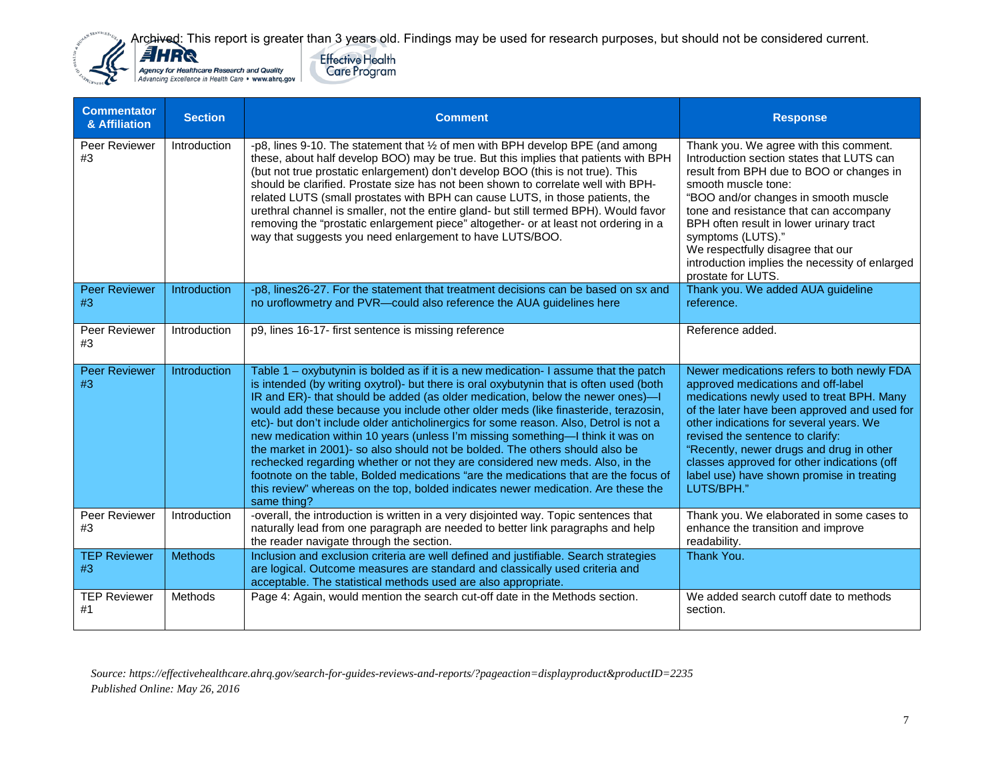



| <b>Commentator</b><br>& Affiliation | <b>Section</b> | <b>Comment</b>                                                                                                                                                                                                                                                                                                                                                                                                                                                                                                                                                                                                                                                                                                                                                                                                                                                                                  | <b>Response</b>                                                                                                                                                                                                                                                                                                                                                                                                       |
|-------------------------------------|----------------|-------------------------------------------------------------------------------------------------------------------------------------------------------------------------------------------------------------------------------------------------------------------------------------------------------------------------------------------------------------------------------------------------------------------------------------------------------------------------------------------------------------------------------------------------------------------------------------------------------------------------------------------------------------------------------------------------------------------------------------------------------------------------------------------------------------------------------------------------------------------------------------------------|-----------------------------------------------------------------------------------------------------------------------------------------------------------------------------------------------------------------------------------------------------------------------------------------------------------------------------------------------------------------------------------------------------------------------|
| Peer Reviewer<br>#3                 | Introduction   | -p8, lines 9-10. The statement that 1/2 of men with BPH develop BPE (and among<br>these, about half develop BOO) may be true. But this implies that patients with BPH<br>(but not true prostatic enlargement) don't develop BOO (this is not true). This<br>should be clarified. Prostate size has not been shown to correlate well with BPH-<br>related LUTS (small prostates with BPH can cause LUTS, in those patients, the<br>urethral channel is smaller, not the entire gland- but still termed BPH). Would favor<br>removing the "prostatic enlargement piece" altogether- or at least not ordering in a<br>way that suggests you need enlargement to have LUTS/BOO.                                                                                                                                                                                                                     | Thank you. We agree with this comment.<br>Introduction section states that LUTS can<br>result from BPH due to BOO or changes in<br>smooth muscle tone:<br>"BOO and/or changes in smooth muscle<br>tone and resistance that can accompany<br>BPH often result in lower urinary tract<br>symptoms (LUTS)."<br>We respectfully disagree that our<br>introduction implies the necessity of enlarged<br>prostate for LUTS. |
| <b>Peer Reviewer</b><br>#3          | Introduction   | -p8, lines26-27. For the statement that treatment decisions can be based on sx and<br>no uroflowmetry and PVR-could also reference the AUA guidelines here                                                                                                                                                                                                                                                                                                                                                                                                                                                                                                                                                                                                                                                                                                                                      | Thank you. We added AUA guideline<br>reference.                                                                                                                                                                                                                                                                                                                                                                       |
| Peer Reviewer<br>#3                 | Introduction   | p9, lines 16-17- first sentence is missing reference                                                                                                                                                                                                                                                                                                                                                                                                                                                                                                                                                                                                                                                                                                                                                                                                                                            | Reference added.                                                                                                                                                                                                                                                                                                                                                                                                      |
| <b>Peer Reviewer</b><br>#3          | Introduction   | Table 1 – oxybutynin is bolded as if it is a new medication- I assume that the patch<br>is intended (by writing oxytrol)- but there is oral oxybutynin that is often used (both<br>IR and ER)- that should be added (as older medication, below the newer ones)-I<br>would add these because you include other older meds (like finasteride, terazosin,<br>etc)- but don't include older anticholinergics for some reason. Also, Detrol is not a<br>new medication within 10 years (unless I'm missing something-I think it was on<br>the market in 2001)- so also should not be bolded. The others should also be<br>rechecked regarding whether or not they are considered new meds. Also, in the<br>footnote on the table, Bolded medications "are the medications that are the focus of<br>this review" whereas on the top, bolded indicates newer medication. Are these the<br>same thing? | Newer medications refers to both newly FDA<br>approved medications and off-label<br>medications newly used to treat BPH. Many<br>of the later have been approved and used for<br>other indications for several years. We<br>revised the sentence to clarify:<br>"Recently, newer drugs and drug in other<br>classes approved for other indications (off<br>label use) have shown promise in treating<br>LUTS/BPH."    |
| Peer Reviewer<br>#3                 | Introduction   | -overall, the introduction is written in a very disjointed way. Topic sentences that<br>naturally lead from one paragraph are needed to better link paragraphs and help<br>the reader navigate through the section.                                                                                                                                                                                                                                                                                                                                                                                                                                                                                                                                                                                                                                                                             | Thank you. We elaborated in some cases to<br>enhance the transition and improve<br>readability.                                                                                                                                                                                                                                                                                                                       |
| <b>TEP Reviewer</b><br>#3           | <b>Methods</b> | Inclusion and exclusion criteria are well defined and justifiable. Search strategies<br>are logical. Outcome measures are standard and classically used criteria and<br>acceptable. The statistical methods used are also appropriate.                                                                                                                                                                                                                                                                                                                                                                                                                                                                                                                                                                                                                                                          | Thank You.                                                                                                                                                                                                                                                                                                                                                                                                            |
| <b>TEP Reviewer</b><br>#1           | <b>Methods</b> | Page 4: Again, would mention the search cut-off date in the Methods section.                                                                                                                                                                                                                                                                                                                                                                                                                                                                                                                                                                                                                                                                                                                                                                                                                    | We added search cutoff date to methods<br>section.                                                                                                                                                                                                                                                                                                                                                                    |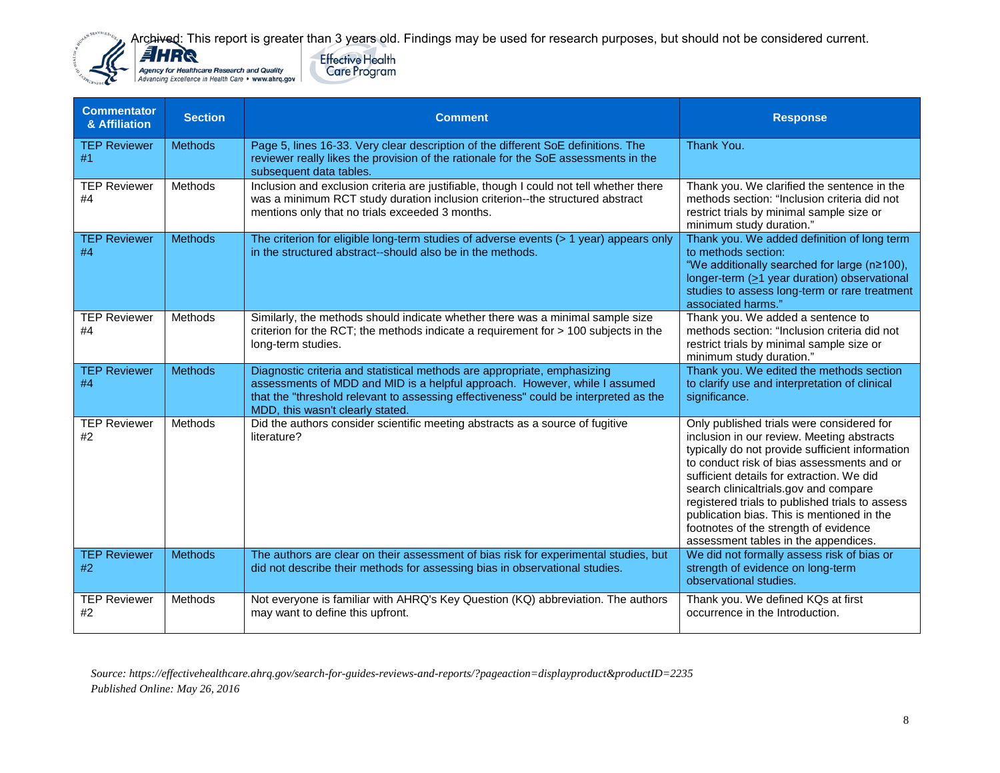



| <b>Commentator</b><br>& Affiliation | <b>Section</b> | <b>Comment</b>                                                                                                                                                                                                                                                                     | <b>Response</b>                                                                                                                                                                                                                                                                                                                                                                                                                                                  |
|-------------------------------------|----------------|------------------------------------------------------------------------------------------------------------------------------------------------------------------------------------------------------------------------------------------------------------------------------------|------------------------------------------------------------------------------------------------------------------------------------------------------------------------------------------------------------------------------------------------------------------------------------------------------------------------------------------------------------------------------------------------------------------------------------------------------------------|
| <b>TEP Reviewer</b><br>#1           | <b>Methods</b> | Page 5, lines 16-33. Very clear description of the different SoE definitions. The<br>reviewer really likes the provision of the rationale for the SoE assessments in the<br>subsequent data tables.                                                                                | Thank You.                                                                                                                                                                                                                                                                                                                                                                                                                                                       |
| <b>TEP Reviewer</b><br>#4           | Methods        | Inclusion and exclusion criteria are justifiable, though I could not tell whether there<br>was a minimum RCT study duration inclusion criterion--the structured abstract<br>mentions only that no trials exceeded 3 months.                                                        | Thank you. We clarified the sentence in the<br>methods section: "Inclusion criteria did not<br>restrict trials by minimal sample size or<br>minimum study duration."                                                                                                                                                                                                                                                                                             |
| <b>TEP Reviewer</b><br>#4           | <b>Methods</b> | The criterion for eligible long-term studies of adverse events (> 1 year) appears only<br>in the structured abstract--should also be in the methods.                                                                                                                               | Thank you. We added definition of long term<br>to methods section:<br>"We additionally searched for large (n≥100),<br>longer-term $( \geq 1$ year duration) observational<br>studies to assess long-term or rare treatment<br>associated harms."                                                                                                                                                                                                                 |
| <b>TEP Reviewer</b><br>#4           | Methods        | Similarly, the methods should indicate whether there was a minimal sample size<br>criterion for the RCT; the methods indicate a requirement for > 100 subjects in the<br>long-term studies.                                                                                        | Thank you. We added a sentence to<br>methods section: "Inclusion criteria did not<br>restrict trials by minimal sample size or<br>minimum study duration."                                                                                                                                                                                                                                                                                                       |
| <b>TEP Reviewer</b><br>#4           | <b>Methods</b> | Diagnostic criteria and statistical methods are appropriate, emphasizing<br>assessments of MDD and MID is a helpful approach. However, while I assumed<br>that the "threshold relevant to assessing effectiveness" could be interpreted as the<br>MDD, this wasn't clearly stated. | Thank you. We edited the methods section<br>to clarify use and interpretation of clinical<br>significance.                                                                                                                                                                                                                                                                                                                                                       |
| <b>TEP Reviewer</b><br>#2           | Methods        | Did the authors consider scientific meeting abstracts as a source of fugitive<br>literature?                                                                                                                                                                                       | Only published trials were considered for<br>inclusion in our review. Meeting abstracts<br>typically do not provide sufficient information<br>to conduct risk of bias assessments and or<br>sufficient details for extraction. We did<br>search clinicaltrials.gov and compare<br>registered trials to published trials to assess<br>publication bias. This is mentioned in the<br>footnotes of the strength of evidence<br>assessment tables in the appendices. |
| <b>TEP Reviewer</b><br>#2           | <b>Methods</b> | The authors are clear on their assessment of bias risk for experimental studies, but<br>did not describe their methods for assessing bias in observational studies.                                                                                                                | We did not formally assess risk of bias or<br>strength of evidence on long-term<br>observational studies.                                                                                                                                                                                                                                                                                                                                                        |
| <b>TEP Reviewer</b><br>#2           | Methods        | Not everyone is familiar with AHRQ's Key Question (KQ) abbreviation. The authors<br>may want to define this upfront.                                                                                                                                                               | Thank you. We defined KQs at first<br>occurrence in the Introduction.                                                                                                                                                                                                                                                                                                                                                                                            |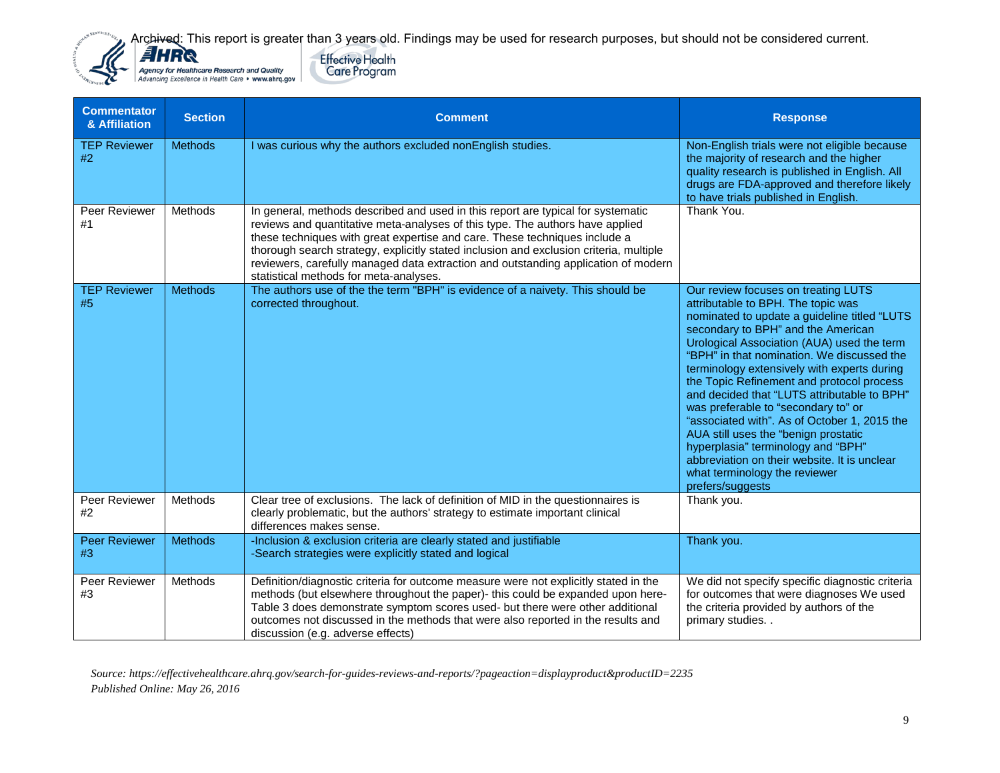

| <b>Commentator</b><br>& Affiliation | <b>Section</b> | <b>Comment</b>                                                                                                                                                                                                                                                                                                                                                                                                                                                            | <b>Response</b>                                                                                                                                                                                                                                                                                                                                                                                                                                                                                                                                                                                                                                                                  |
|-------------------------------------|----------------|---------------------------------------------------------------------------------------------------------------------------------------------------------------------------------------------------------------------------------------------------------------------------------------------------------------------------------------------------------------------------------------------------------------------------------------------------------------------------|----------------------------------------------------------------------------------------------------------------------------------------------------------------------------------------------------------------------------------------------------------------------------------------------------------------------------------------------------------------------------------------------------------------------------------------------------------------------------------------------------------------------------------------------------------------------------------------------------------------------------------------------------------------------------------|
| <b>TEP Reviewer</b><br>#2           | <b>Methods</b> | I was curious why the authors excluded nonEnglish studies.                                                                                                                                                                                                                                                                                                                                                                                                                | Non-English trials were not eligible because<br>the majority of research and the higher<br>quality research is published in English. All<br>drugs are FDA-approved and therefore likely<br>to have trials published in English.                                                                                                                                                                                                                                                                                                                                                                                                                                                  |
| Peer Reviewer<br>#1                 | Methods        | In general, methods described and used in this report are typical for systematic<br>reviews and quantitative meta-analyses of this type. The authors have applied<br>these techniques with great expertise and care. These techniques include a<br>thorough search strategy, explicitly stated inclusion and exclusion criteria, multiple<br>reviewers, carefully managed data extraction and outstanding application of modern<br>statistical methods for meta-analyses. | Thank You.                                                                                                                                                                                                                                                                                                                                                                                                                                                                                                                                                                                                                                                                       |
| <b>TEP Reviewer</b><br>#5           | <b>Methods</b> | The authors use of the the term "BPH" is evidence of a naivety. This should be<br>corrected throughout.                                                                                                                                                                                                                                                                                                                                                                   | Our review focuses on treating LUTS<br>attributable to BPH. The topic was<br>nominated to update a guideline titled "LUTS<br>secondary to BPH" and the American<br>Urological Association (AUA) used the term<br>"BPH" in that nomination. We discussed the<br>terminology extensively with experts during<br>the Topic Refinement and protocol process<br>and decided that "LUTS attributable to BPH"<br>was preferable to "secondary to" or<br>"associated with". As of October 1, 2015 the<br>AUA still uses the "benign prostatic<br>hyperplasia" terminology and "BPH"<br>abbreviation on their website. It is unclear<br>what terminology the reviewer<br>prefers/suggests |
| Peer Reviewer<br>#2                 | <b>Methods</b> | Clear tree of exclusions. The lack of definition of MID in the questionnaires is<br>clearly problematic, but the authors' strategy to estimate important clinical<br>differences makes sense.                                                                                                                                                                                                                                                                             | Thank you.                                                                                                                                                                                                                                                                                                                                                                                                                                                                                                                                                                                                                                                                       |
| <b>Peer Reviewer</b><br>#3          | <b>Methods</b> | -Inclusion & exclusion criteria are clearly stated and justifiable<br>-Search strategies were explicitly stated and logical                                                                                                                                                                                                                                                                                                                                               | Thank you.                                                                                                                                                                                                                                                                                                                                                                                                                                                                                                                                                                                                                                                                       |
| Peer Reviewer<br>#3                 | Methods        | Definition/diagnostic criteria for outcome measure were not explicitly stated in the<br>methods (but elsewhere throughout the paper)- this could be expanded upon here-<br>Table 3 does demonstrate symptom scores used- but there were other additional<br>outcomes not discussed in the methods that were also reported in the results and<br>discussion (e.g. adverse effects)                                                                                         | We did not specify specific diagnostic criteria<br>for outcomes that were diagnoses We used<br>the criteria provided by authors of the<br>primary studies                                                                                                                                                                                                                                                                                                                                                                                                                                                                                                                        |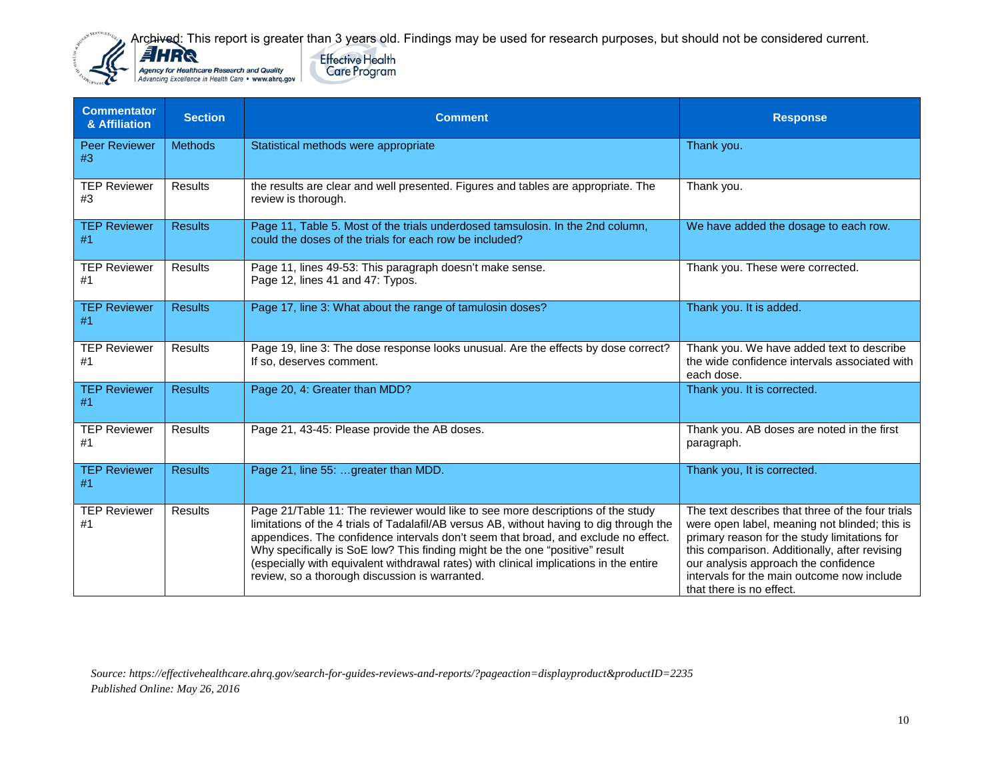



| <b>Commentator</b><br>& Affiliation | <b>Section</b> | <b>Comment</b>                                                                                                                                                                                                                                                                                                                                                                                                                                                                                | <b>Response</b>                                                                                                                                                                                                                                                                                                      |
|-------------------------------------|----------------|-----------------------------------------------------------------------------------------------------------------------------------------------------------------------------------------------------------------------------------------------------------------------------------------------------------------------------------------------------------------------------------------------------------------------------------------------------------------------------------------------|----------------------------------------------------------------------------------------------------------------------------------------------------------------------------------------------------------------------------------------------------------------------------------------------------------------------|
| <b>Peer Reviewer</b><br>#3          | <b>Methods</b> | Statistical methods were appropriate                                                                                                                                                                                                                                                                                                                                                                                                                                                          | Thank you.                                                                                                                                                                                                                                                                                                           |
| <b>TEP Reviewer</b><br>#3           | Results        | the results are clear and well presented. Figures and tables are appropriate. The<br>review is thorough.                                                                                                                                                                                                                                                                                                                                                                                      | Thank you.                                                                                                                                                                                                                                                                                                           |
| <b>TEP Reviewer</b><br>#1           | <b>Results</b> | Page 11, Table 5. Most of the trials underdosed tamsulosin. In the 2nd column,<br>could the doses of the trials for each row be included?                                                                                                                                                                                                                                                                                                                                                     | We have added the dosage to each row.                                                                                                                                                                                                                                                                                |
| <b>TEP Reviewer</b><br>#1           | <b>Results</b> | Page 11, lines 49-53: This paragraph doesn't make sense.<br>Page 12, lines 41 and 47: Typos.                                                                                                                                                                                                                                                                                                                                                                                                  | Thank you. These were corrected.                                                                                                                                                                                                                                                                                     |
| <b>TEP Reviewer</b><br>#1           | <b>Results</b> | Page 17, line 3: What about the range of tamulosin doses?                                                                                                                                                                                                                                                                                                                                                                                                                                     | Thank you. It is added.                                                                                                                                                                                                                                                                                              |
| <b>TEP Reviewer</b><br>#1           | <b>Results</b> | Page 19, line 3: The dose response looks unusual. Are the effects by dose correct?<br>If so, deserves comment.                                                                                                                                                                                                                                                                                                                                                                                | Thank you. We have added text to describe<br>the wide confidence intervals associated with<br>each dose.                                                                                                                                                                                                             |
| <b>TEP Reviewer</b><br>#1           | <b>Results</b> | Page 20, 4: Greater than MDD?                                                                                                                                                                                                                                                                                                                                                                                                                                                                 | Thank you. It is corrected.                                                                                                                                                                                                                                                                                          |
| <b>TEP Reviewer</b><br>#1           | <b>Results</b> | Page 21, 43-45: Please provide the AB doses.                                                                                                                                                                                                                                                                                                                                                                                                                                                  | Thank you. AB doses are noted in the first<br>paragraph.                                                                                                                                                                                                                                                             |
| <b>TEP Reviewer</b><br>#1           | <b>Results</b> | Page 21, line 55: greater than MDD.                                                                                                                                                                                                                                                                                                                                                                                                                                                           | Thank you, It is corrected.                                                                                                                                                                                                                                                                                          |
| <b>TEP Reviewer</b><br>#1           | Results        | Page 21/Table 11: The reviewer would like to see more descriptions of the study<br>limitations of the 4 trials of Tadalafil/AB versus AB, without having to dig through the<br>appendices. The confidence intervals don't seem that broad, and exclude no effect.<br>Why specifically is SoE low? This finding might be the one "positive" result<br>(especially with equivalent withdrawal rates) with clinical implications in the entire<br>review, so a thorough discussion is warranted. | The text describes that three of the four trials<br>were open label, meaning not blinded; this is<br>primary reason for the study limitations for<br>this comparison. Additionally, after revising<br>our analysis approach the confidence<br>intervals for the main outcome now include<br>that there is no effect. |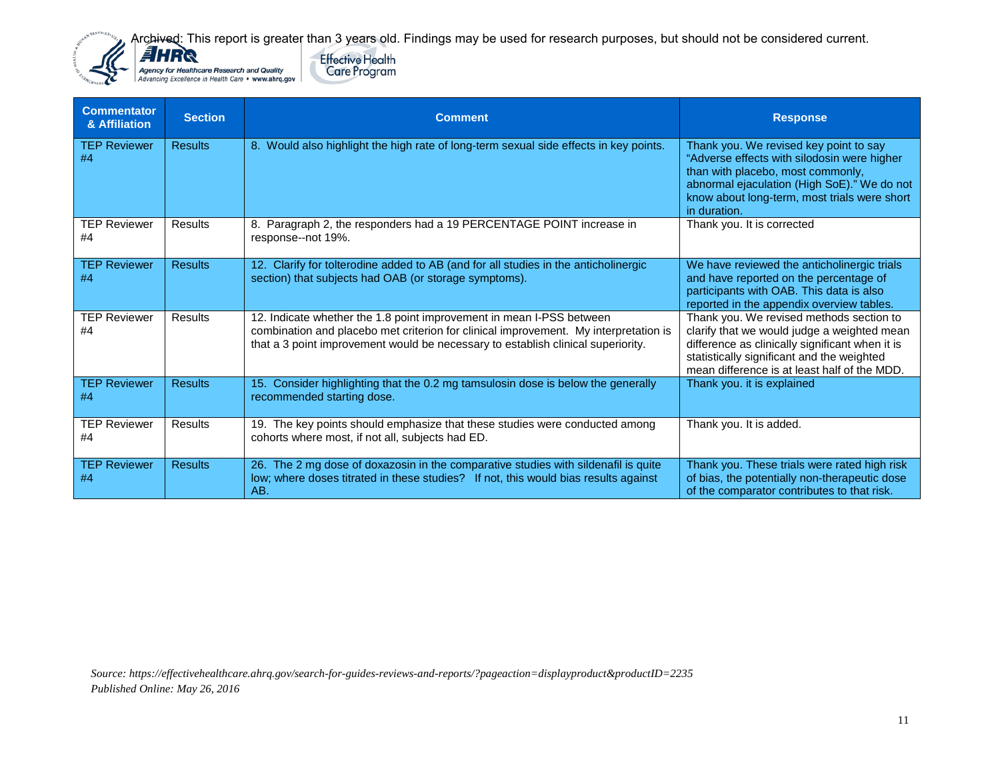**Effective Health** 

**Care Program** 



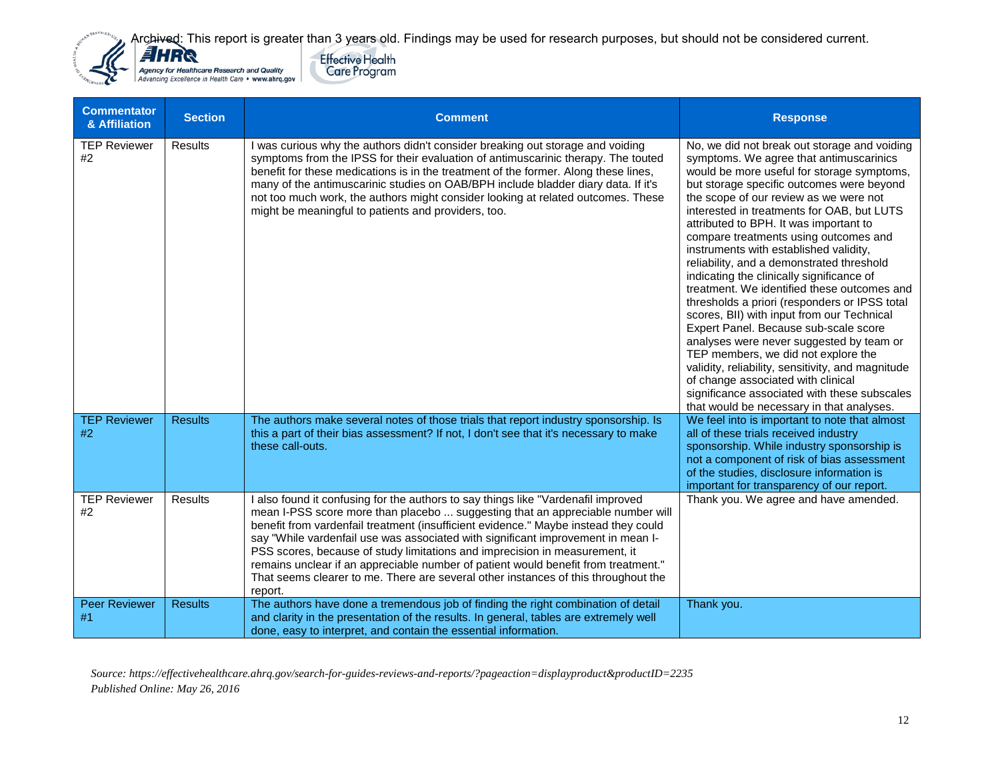



| <b>Commentator</b><br>& Affiliation | <b>Section</b> | <b>Comment</b>                                                                                                                                                                                                                                                                                                                                                                                                                                                                                                                                                                                                       | <b>Response</b>                                                                                                                                                                                                                                                                                                                                                                                                                                                                                                                                                                                                                                                                                                                                                                                                                                                                                                                                                     |
|-------------------------------------|----------------|----------------------------------------------------------------------------------------------------------------------------------------------------------------------------------------------------------------------------------------------------------------------------------------------------------------------------------------------------------------------------------------------------------------------------------------------------------------------------------------------------------------------------------------------------------------------------------------------------------------------|---------------------------------------------------------------------------------------------------------------------------------------------------------------------------------------------------------------------------------------------------------------------------------------------------------------------------------------------------------------------------------------------------------------------------------------------------------------------------------------------------------------------------------------------------------------------------------------------------------------------------------------------------------------------------------------------------------------------------------------------------------------------------------------------------------------------------------------------------------------------------------------------------------------------------------------------------------------------|
| <b>TEP Reviewer</b><br>#2           | <b>Results</b> | I was curious why the authors didn't consider breaking out storage and voiding<br>symptoms from the IPSS for their evaluation of antimuscarinic therapy. The touted<br>benefit for these medications is in the treatment of the former. Along these lines,<br>many of the antimuscarinic studies on OAB/BPH include bladder diary data. If it's<br>not too much work, the authors might consider looking at related outcomes. These<br>might be meaningful to patients and providers, too.                                                                                                                           | No, we did not break out storage and voiding<br>symptoms. We agree that antimuscarinics<br>would be more useful for storage symptoms,<br>but storage specific outcomes were beyond<br>the scope of our review as we were not<br>interested in treatments for OAB, but LUTS<br>attributed to BPH. It was important to<br>compare treatments using outcomes and<br>instruments with established validity,<br>reliability, and a demonstrated threshold<br>indicating the clinically significance of<br>treatment. We identified these outcomes and<br>thresholds a priori (responders or IPSS total<br>scores, BII) with input from our Technical<br>Expert Panel. Because sub-scale score<br>analyses were never suggested by team or<br>TEP members, we did not explore the<br>validity, reliability, sensitivity, and magnitude<br>of change associated with clinical<br>significance associated with these subscales<br>that would be necessary in that analyses. |
| <b>TEP Reviewer</b><br>#2           | <b>Results</b> | The authors make several notes of those trials that report industry sponsorship. Is<br>this a part of their bias assessment? If not, I don't see that it's necessary to make<br>these call-outs.                                                                                                                                                                                                                                                                                                                                                                                                                     | We feel into is important to note that almost<br>all of these trials received industry<br>sponsorship. While industry sponsorship is<br>not a component of risk of bias assessment<br>of the studies, disclosure information is<br>important for transparency of our report.                                                                                                                                                                                                                                                                                                                                                                                                                                                                                                                                                                                                                                                                                        |
| <b>TEP Reviewer</b><br>#2           | <b>Results</b> | I also found it confusing for the authors to say things like "Vardenafil improved<br>mean I-PSS score more than placebo  suggesting that an appreciable number will<br>benefit from vardenfail treatment (insufficient evidence." Maybe instead they could<br>say "While vardenfail use was associated with significant improvement in mean I-<br>PSS scores, because of study limitations and imprecision in measurement, it<br>remains unclear if an appreciable number of patient would benefit from treatment."<br>That seems clearer to me. There are several other instances of this throughout the<br>report. | Thank you. We agree and have amended.                                                                                                                                                                                                                                                                                                                                                                                                                                                                                                                                                                                                                                                                                                                                                                                                                                                                                                                               |
| <b>Peer Reviewer</b><br>#1          | <b>Results</b> | The authors have done a tremendous job of finding the right combination of detail<br>and clarity in the presentation of the results. In general, tables are extremely well<br>done, easy to interpret, and contain the essential information.                                                                                                                                                                                                                                                                                                                                                                        | Thank you.                                                                                                                                                                                                                                                                                                                                                                                                                                                                                                                                                                                                                                                                                                                                                                                                                                                                                                                                                          |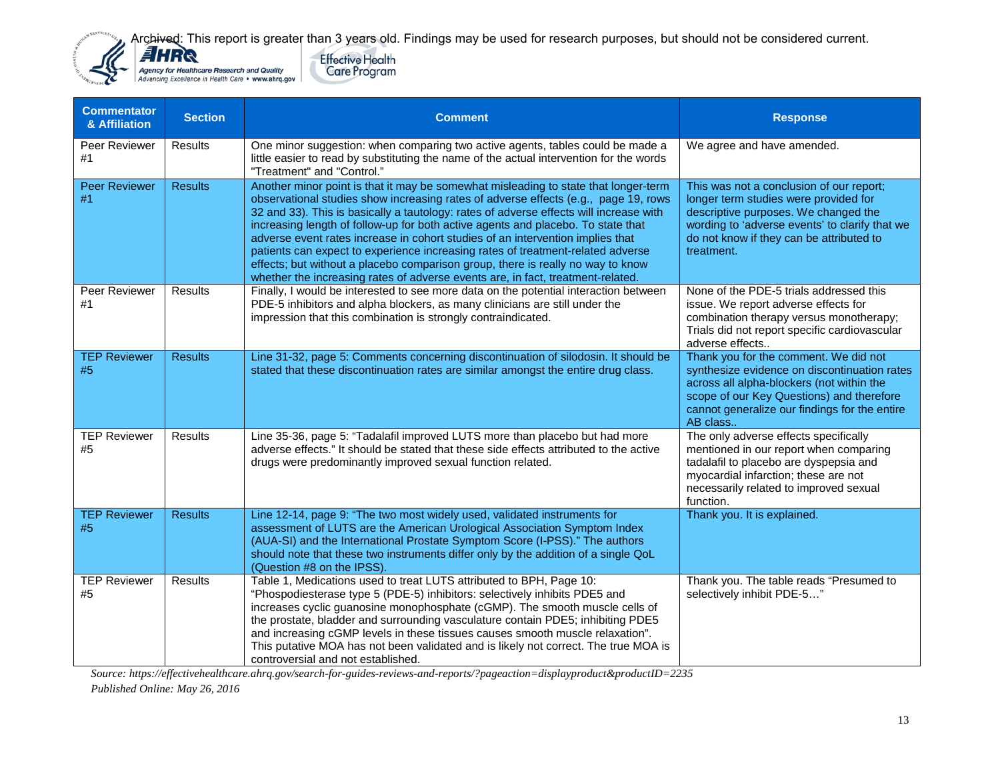

**Commentator** 



| $\alpha$ Allillation       |                |                                                                                                                                                                                                                                                                                                                                                                                                                                                                                                                                                                                                                                                                                                     |                                                                                                                                                                                                                                              |
|----------------------------|----------------|-----------------------------------------------------------------------------------------------------------------------------------------------------------------------------------------------------------------------------------------------------------------------------------------------------------------------------------------------------------------------------------------------------------------------------------------------------------------------------------------------------------------------------------------------------------------------------------------------------------------------------------------------------------------------------------------------------|----------------------------------------------------------------------------------------------------------------------------------------------------------------------------------------------------------------------------------------------|
| Peer Reviewer<br>#1        | <b>Results</b> | One minor suggestion: when comparing two active agents, tables could be made a<br>little easier to read by substituting the name of the actual intervention for the words<br>"Treatment" and "Control."                                                                                                                                                                                                                                                                                                                                                                                                                                                                                             | We agree and have amended.                                                                                                                                                                                                                   |
| <b>Peer Reviewer</b><br>#1 | <b>Results</b> | Another minor point is that it may be somewhat misleading to state that longer-term<br>observational studies show increasing rates of adverse effects (e.g., page 19, rows<br>32 and 33). This is basically a tautology: rates of adverse effects will increase with<br>increasing length of follow-up for both active agents and placebo. To state that<br>adverse event rates increase in cohort studies of an intervention implies that<br>patients can expect to experience increasing rates of treatment-related adverse<br>effects; but without a placebo comparison group, there is really no way to know<br>whether the increasing rates of adverse events are, in fact, treatment-related. | This was not a conclusion of our report;<br>longer term studies were provided for<br>descriptive purposes. We changed the<br>wording to 'adverse events' to clarify that we<br>do not know if they can be attributed to<br>treatment.        |
| Peer Reviewer<br>#1        | <b>Results</b> | Finally, I would be interested to see more data on the potential interaction between<br>PDE-5 inhibitors and alpha blockers, as many clinicians are still under the<br>impression that this combination is strongly contraindicated.                                                                                                                                                                                                                                                                                                                                                                                                                                                                | None of the PDE-5 trials addressed this<br>issue. We report adverse effects for<br>combination therapy versus monotherapy;<br>Trials did not report specific cardiovascular<br>adverse effects                                               |
| <b>TEP Reviewer</b><br>#5  | <b>Results</b> | Line 31-32, page 5: Comments concerning discontinuation of silodosin. It should be<br>stated that these discontinuation rates are similar amongst the entire drug class.                                                                                                                                                                                                                                                                                                                                                                                                                                                                                                                            | Thank you for the comment. We did not<br>synthesize evidence on discontinuation rates<br>across all alpha-blockers (not within the<br>scope of our Key Questions) and therefore<br>cannot generalize our findings for the entire<br>AB class |
| <b>TEP Reviewer</b><br>#5  | <b>Results</b> | Line 35-36, page 5: "Tadalafil improved LUTS more than placebo but had more<br>adverse effects." It should be stated that these side effects attributed to the active<br>drugs were predominantly improved sexual function related.                                                                                                                                                                                                                                                                                                                                                                                                                                                                 | The only adverse effects specifically<br>mentioned in our report when comparing<br>tadalafil to placebo are dyspepsia and<br>myocardial infarction; these are not<br>necessarily related to improved sexual<br>function.                     |
| <b>TEP Reviewer</b><br>#5  | <b>Results</b> | Line 12-14, page 9: "The two most widely used, validated instruments for<br>assessment of LUTS are the American Urological Association Symptom Index<br>(AUA-SI) and the International Prostate Symptom Score (I-PSS)." The authors<br>should note that these two instruments differ only by the addition of a single QoL<br>(Question #8 on the IPSS).                                                                                                                                                                                                                                                                                                                                             | Thank you. It is explained.                                                                                                                                                                                                                  |
| <b>TEP Reviewer</b><br>#5  | <b>Results</b> | Table 1, Medications used to treat LUTS attributed to BPH, Page 10:<br>"Phospodiesterase type 5 (PDE-5) inhibitors: selectively inhibits PDE5 and<br>increases cyclic guanosine monophosphate (cGMP). The smooth muscle cells of<br>the prostate, bladder and surrounding vasculature contain PDE5; inhibiting PDE5<br>and increasing cGMP levels in these tissues causes smooth muscle relaxation".<br>This putative MOA has not been validated and is likely not correct. The true MOA is<br>controversial and not established.                                                                                                                                                                   | Thank you. The table reads "Presumed to<br>selectively inhibit PDE-5"                                                                                                                                                                        |

*Source: https://effectivehealthcare.ahrq.gov/search-for-guides-reviews-and-reports/?pageaction=displayproduct&productID=2235* 

*Published Online: May 26, 2016*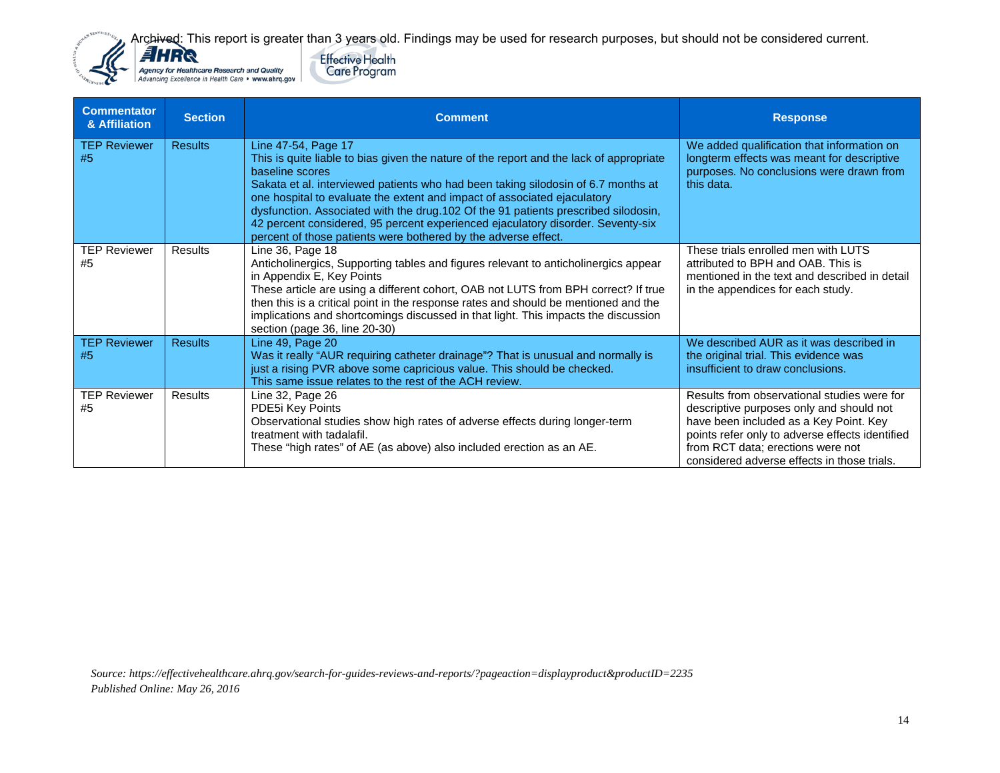



| <b>Commentator</b><br>& Affiliation | <b>Section</b> | <b>Comment</b>                                                                                                                                                                                                                                                                                                                                                                                                                                                                                                                                | <b>Response</b>                                                                                                                                                                                                                                                          |
|-------------------------------------|----------------|-----------------------------------------------------------------------------------------------------------------------------------------------------------------------------------------------------------------------------------------------------------------------------------------------------------------------------------------------------------------------------------------------------------------------------------------------------------------------------------------------------------------------------------------------|--------------------------------------------------------------------------------------------------------------------------------------------------------------------------------------------------------------------------------------------------------------------------|
| <b>TEP Reviewer</b><br>#5           | <b>Results</b> | Line 47-54, Page 17<br>This is quite liable to bias given the nature of the report and the lack of appropriate<br>baseline scores<br>Sakata et al. interviewed patients who had been taking silodosin of 6.7 months at<br>one hospital to evaluate the extent and impact of associated ejaculatory<br>dysfunction. Associated with the drug.102 Of the 91 patients prescribed silodosin,<br>42 percent considered, 95 percent experienced ejaculatory disorder. Seventy-six<br>percent of those patients were bothered by the adverse effect. | We added qualification that information on<br>longterm effects was meant for descriptive<br>purposes. No conclusions were drawn from<br>this data.                                                                                                                       |
| <b>TEP Reviewer</b><br>#5           | Results        | Line 36, Page 18<br>Anticholinergics, Supporting tables and figures relevant to anticholinergics appear<br>in Appendix E, Key Points<br>These article are using a different cohort, OAB not LUTS from BPH correct? If true<br>then this is a critical point in the response rates and should be mentioned and the<br>implications and shortcomings discussed in that light. This impacts the discussion<br>section (page 36, line 20-30)                                                                                                      | These trials enrolled men with LUTS<br>attributed to BPH and OAB. This is<br>mentioned in the text and described in detail<br>in the appendices for each study.                                                                                                          |
| <b>TEP Reviewer</b><br>#5           | <b>Results</b> | Line 49, Page 20<br>Was it really "AUR requiring catheter drainage"? That is unusual and normally is<br>just a rising PVR above some capricious value. This should be checked.<br>This same issue relates to the rest of the ACH review.                                                                                                                                                                                                                                                                                                      | We described AUR as it was described in<br>the original trial. This evidence was<br>insufficient to draw conclusions.                                                                                                                                                    |
| <b>TEP Reviewer</b><br>#5           | <b>Results</b> | Line 32, Page 26<br>PDE5i Key Points<br>Observational studies show high rates of adverse effects during longer-term<br>treatment with tadalafil.<br>These "high rates" of AE (as above) also included erection as an AE.                                                                                                                                                                                                                                                                                                                      | Results from observational studies were for<br>descriptive purposes only and should not<br>have been included as a Key Point. Key<br>points refer only to adverse effects identified<br>from RCT data; erections were not<br>considered adverse effects in those trials. |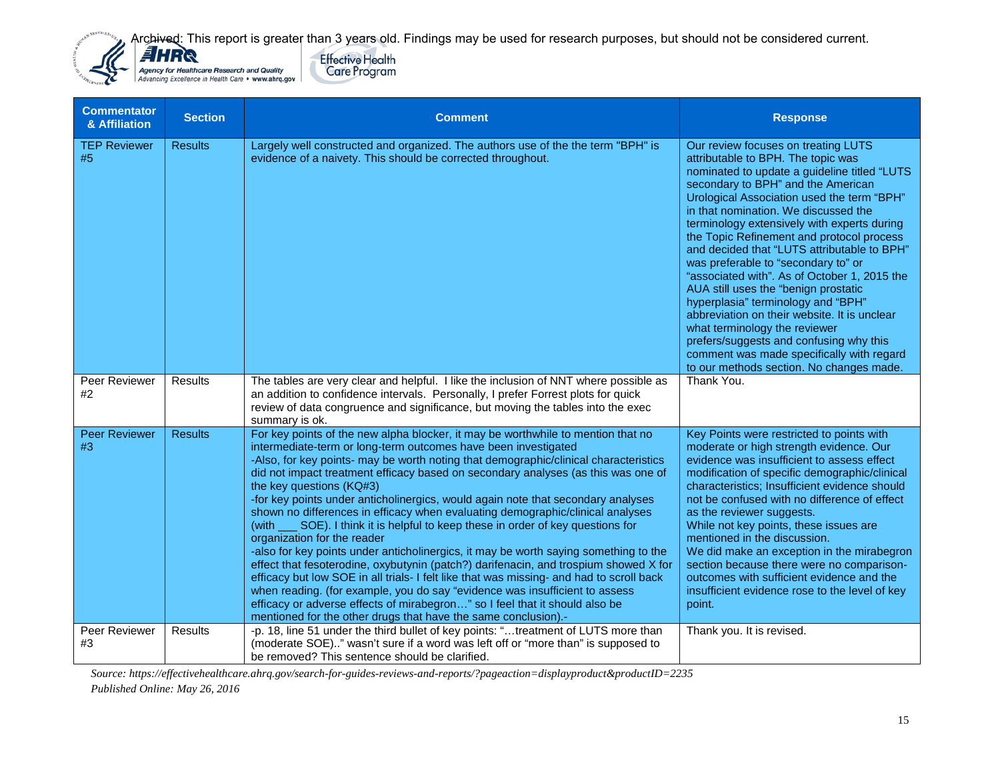



| <b>Commentator</b><br>& Affiliation        | <b>Section</b>                   | <b>Comment</b>                                                                                                                                                                                                                                                                                                                                                                                                                                                                                                                                                                                                                                                                                                                                                                                                                                                                                                                                                                                                                                                                                                                                                   | <b>Response</b>                                                                                                                                                                                                                                                                                                                                                                                                                                                                                                                                                                                                                                                                                                                                                                                          |
|--------------------------------------------|----------------------------------|------------------------------------------------------------------------------------------------------------------------------------------------------------------------------------------------------------------------------------------------------------------------------------------------------------------------------------------------------------------------------------------------------------------------------------------------------------------------------------------------------------------------------------------------------------------------------------------------------------------------------------------------------------------------------------------------------------------------------------------------------------------------------------------------------------------------------------------------------------------------------------------------------------------------------------------------------------------------------------------------------------------------------------------------------------------------------------------------------------------------------------------------------------------|----------------------------------------------------------------------------------------------------------------------------------------------------------------------------------------------------------------------------------------------------------------------------------------------------------------------------------------------------------------------------------------------------------------------------------------------------------------------------------------------------------------------------------------------------------------------------------------------------------------------------------------------------------------------------------------------------------------------------------------------------------------------------------------------------------|
| <b>TEP Reviewer</b><br>#5<br>Peer Reviewer | <b>Results</b><br><b>Results</b> | Largely well constructed and organized. The authors use of the the term "BPH" is<br>evidence of a naivety. This should be corrected throughout.<br>The tables are very clear and helpful. I like the inclusion of NNT where possible as                                                                                                                                                                                                                                                                                                                                                                                                                                                                                                                                                                                                                                                                                                                                                                                                                                                                                                                          | Our review focuses on treating LUTS<br>attributable to BPH. The topic was<br>nominated to update a guideline titled "LUTS<br>secondary to BPH" and the American<br>Urological Association used the term "BPH"<br>in that nomination. We discussed the<br>terminology extensively with experts during<br>the Topic Refinement and protocol process<br>and decided that "LUTS attributable to BPH"<br>was preferable to "secondary to" or<br>"associated with". As of October 1, 2015 the<br>AUA still uses the "benign prostatic<br>hyperplasia" terminology and "BPH"<br>abbreviation on their website. It is unclear<br>what terminology the reviewer<br>prefers/suggests and confusing why this<br>comment was made specifically with regard<br>to our methods section. No changes made.<br>Thank You. |
| #2                                         |                                  | an addition to confidence intervals. Personally, I prefer Forrest plots for quick<br>review of data congruence and significance, but moving the tables into the exec<br>summary is ok.                                                                                                                                                                                                                                                                                                                                                                                                                                                                                                                                                                                                                                                                                                                                                                                                                                                                                                                                                                           |                                                                                                                                                                                                                                                                                                                                                                                                                                                                                                                                                                                                                                                                                                                                                                                                          |
| <b>Peer Reviewer</b><br>#3                 | <b>Results</b>                   | For key points of the new alpha blocker, it may be worthwhile to mention that no<br>intermediate-term or long-term outcomes have been investigated<br>-Also, for key points- may be worth noting that demographic/clinical characteristics<br>did not impact treatment efficacy based on secondary analyses (as this was one of<br>the key questions (KQ#3)<br>-for key points under anticholinergics, would again note that secondary analyses<br>shown no differences in efficacy when evaluating demographic/clinical analyses<br>SOE). I think it is helpful to keep these in order of key questions for<br>(with<br>organization for the reader<br>-also for key points under anticholinergics, it may be worth saying something to the<br>effect that fesoterodine, oxybutynin (patch?) darifenacin, and trospium showed X for<br>efficacy but low SOE in all trials- I felt like that was missing- and had to scroll back<br>when reading. (for example, you do say "evidence was insufficient to assess<br>efficacy or adverse effects of mirabegron" so I feel that it should also be<br>mentioned for the other drugs that have the same conclusion).- | Key Points were restricted to points with<br>moderate or high strength evidence. Our<br>evidence was insufficient to assess effect<br>modification of specific demographic/clinical<br>characteristics; Insufficient evidence should<br>not be confused with no difference of effect<br>as the reviewer suggests.<br>While not key points, these issues are<br>mentioned in the discussion.<br>We did make an exception in the mirabegron<br>section because there were no comparison-<br>outcomes with sufficient evidence and the<br>insufficient evidence rose to the level of key<br>point.                                                                                                                                                                                                          |
| Peer Reviewer<br>#3                        | <b>Results</b>                   | -p. 18, line 51 under the third bullet of key points: "treatment of LUTS more than<br>(moderate SOE)" wasn't sure if a word was left off or "more than" is supposed to<br>be removed? This sentence should be clarified.                                                                                                                                                                                                                                                                                                                                                                                                                                                                                                                                                                                                                                                                                                                                                                                                                                                                                                                                         | Thank you. It is revised.                                                                                                                                                                                                                                                                                                                                                                                                                                                                                                                                                                                                                                                                                                                                                                                |

*Source: https://effectivehealthcare.ahrq.gov/search-for-guides-reviews-and-reports/?pageaction=displayproduct&productID=2235* 

*Published Online: May 26, 2016*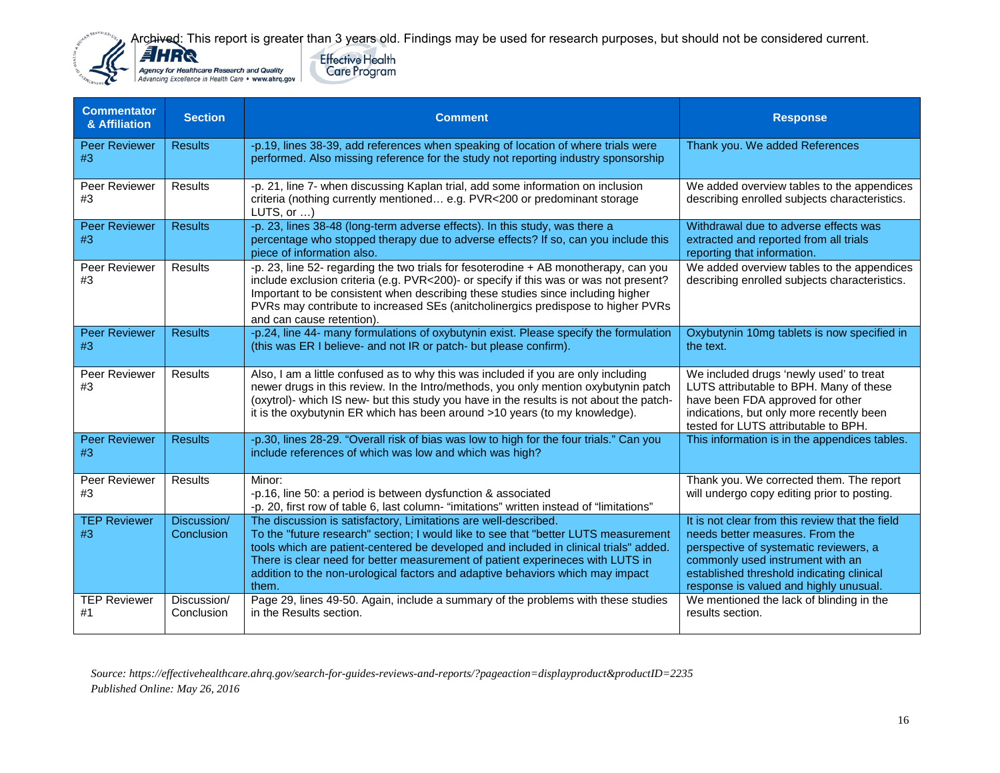



| <b>Commentator</b><br>& Affiliation | <b>Section</b>            | <b>Comment</b>                                                                                                                                                                                                                                                                                                                                                                                                                | <b>Response</b>                                                                                                                                                                                                                                         |
|-------------------------------------|---------------------------|-------------------------------------------------------------------------------------------------------------------------------------------------------------------------------------------------------------------------------------------------------------------------------------------------------------------------------------------------------------------------------------------------------------------------------|---------------------------------------------------------------------------------------------------------------------------------------------------------------------------------------------------------------------------------------------------------|
| <b>Peer Reviewer</b><br>#3          | <b>Results</b>            | -p.19, lines 38-39, add references when speaking of location of where trials were<br>performed. Also missing reference for the study not reporting industry sponsorship                                                                                                                                                                                                                                                       | Thank you. We added References                                                                                                                                                                                                                          |
| Peer Reviewer<br>#3                 | <b>Results</b>            | -p. 21, line 7- when discussing Kaplan trial, add some information on inclusion<br>criteria (nothing currently mentioned e.g. PVR<200 or predominant storage<br>$LUTS$ , or $\dots$ )                                                                                                                                                                                                                                         | We added overview tables to the appendices<br>describing enrolled subjects characteristics.                                                                                                                                                             |
| <b>Peer Reviewer</b><br>#3          | <b>Results</b>            | -p. 23, lines 38-48 (long-term adverse effects). In this study, was there a<br>percentage who stopped therapy due to adverse effects? If so, can you include this<br>piece of information also.                                                                                                                                                                                                                               | Withdrawal due to adverse effects was<br>extracted and reported from all trials<br>reporting that information.                                                                                                                                          |
| Peer Reviewer<br>#3                 | Results                   | -p. 23, line 52- regarding the two trials for fesoterodine + AB monotherapy, can you<br>include exclusion criteria (e.g. PVR<200)- or specify if this was or was not present?<br>Important to be consistent when describing these studies since including higher<br>PVRs may contribute to increased SEs (anitcholinergics predispose to higher PVRs<br>and can cause retention).                                             | We added overview tables to the appendices<br>describing enrolled subjects characteristics.                                                                                                                                                             |
| <b>Peer Reviewer</b><br>#3          | <b>Results</b>            | -p.24, line 44- many formulations of oxybutynin exist. Please specify the formulation<br>(this was ER I believe- and not IR or patch- but please confirm).                                                                                                                                                                                                                                                                    | Oxybutynin 10mg tablets is now specified in<br>the text.                                                                                                                                                                                                |
| Peer Reviewer<br>#3                 | <b>Results</b>            | Also, I am a little confused as to why this was included if you are only including<br>newer drugs in this review. In the Intro/methods, you only mention oxybutynin patch<br>(oxytrol)- which IS new- but this study you have in the results is not about the patch-<br>it is the oxybutynin ER which has been around >10 years (to my knowledge).                                                                            | We included drugs 'newly used' to treat<br>LUTS attributable to BPH. Many of these<br>have been FDA approved for other<br>indications, but only more recently been<br>tested for LUTS attributable to BPH.                                              |
| <b>Peer Reviewer</b><br>#3          | <b>Results</b>            | -p.30, lines 28-29. "Overall risk of bias was low to high for the four trials." Can you<br>include references of which was low and which was high?                                                                                                                                                                                                                                                                            | This information is in the appendices tables.                                                                                                                                                                                                           |
| Peer Reviewer<br>#3                 | Results                   | Minor:<br>-p.16, line 50: a period is between dysfunction & associated<br>-p. 20, first row of table 6, last column- "imitations" written instead of "limitations"                                                                                                                                                                                                                                                            | Thank you. We corrected them. The report<br>will undergo copy editing prior to posting.                                                                                                                                                                 |
| <b>TEP Reviewer</b><br>#3           | Discussion/<br>Conclusion | The discussion is satisfactory, Limitations are well-described.<br>To the "future research" section: I would like to see that "better LUTS measurement"<br>tools which are patient-centered be developed and included in clinical trials" added.<br>There is clear need for better measurement of patient experineces with LUTS in<br>addition to the non-urological factors and adaptive behaviors which may impact<br>them. | It is not clear from this review that the field<br>needs better measures. From the<br>perspective of systematic reviewers, a<br>commonly used instrument with an<br>established threshold indicating clinical<br>response is valued and highly unusual. |
| <b>TEP Reviewer</b><br>#1           | Discussion/<br>Conclusion | Page 29, lines 49-50. Again, include a summary of the problems with these studies<br>in the Results section.                                                                                                                                                                                                                                                                                                                  | We mentioned the lack of blinding in the<br>results section.                                                                                                                                                                                            |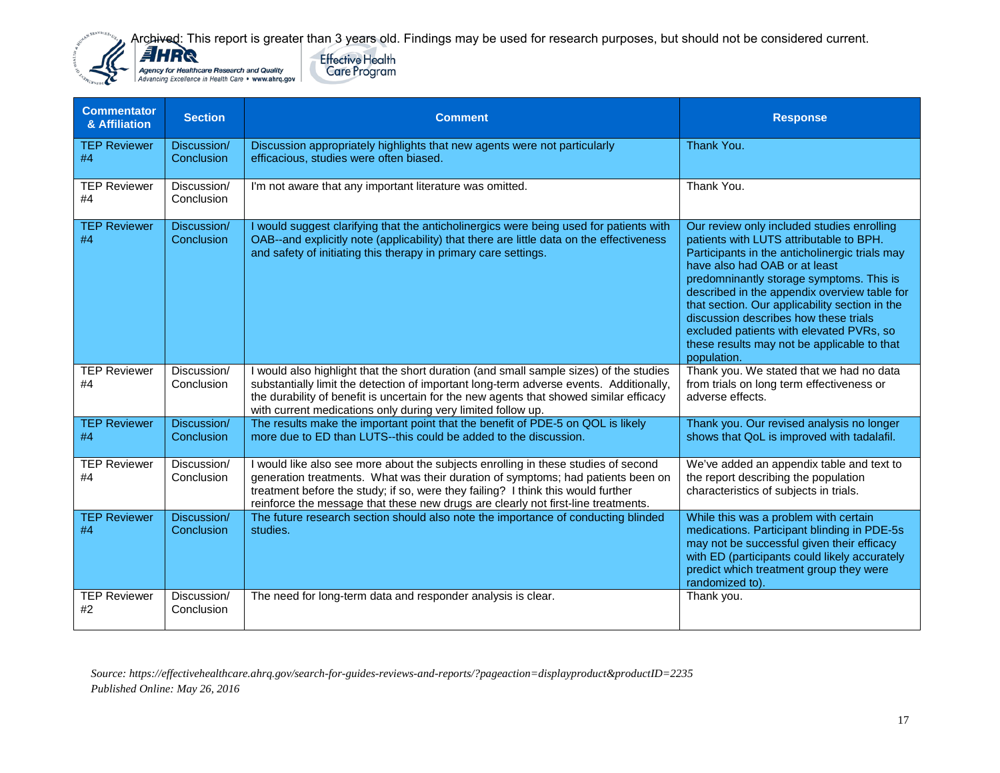**Effective Health** 

**Care Program** 



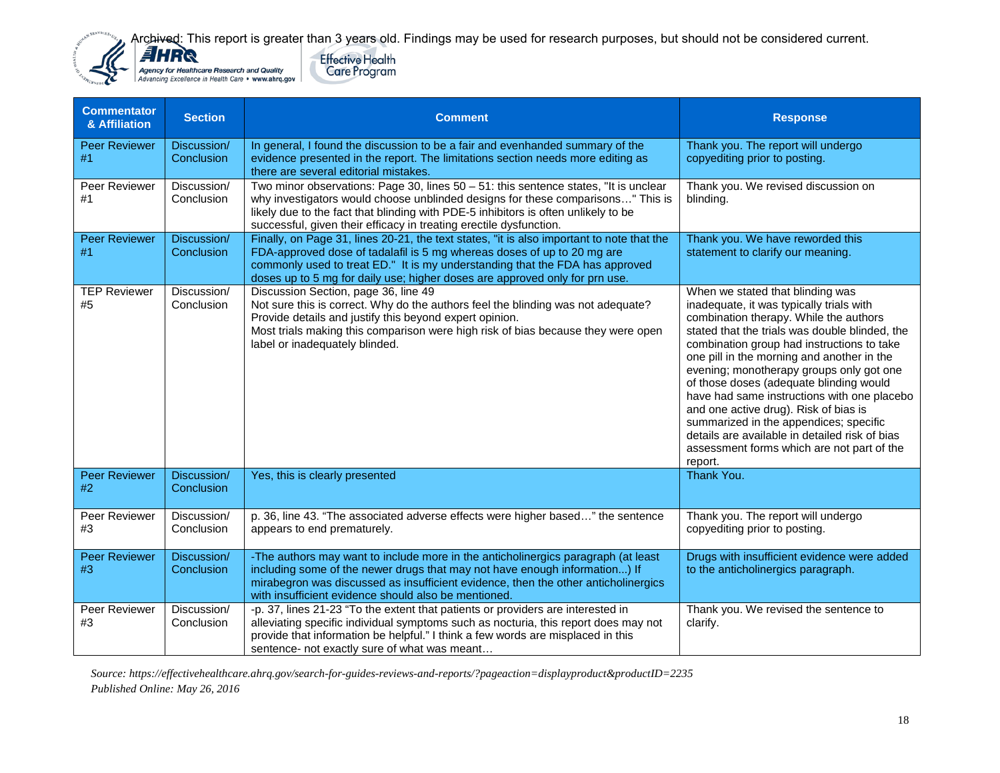**Effective Health** 

**Care Program** 



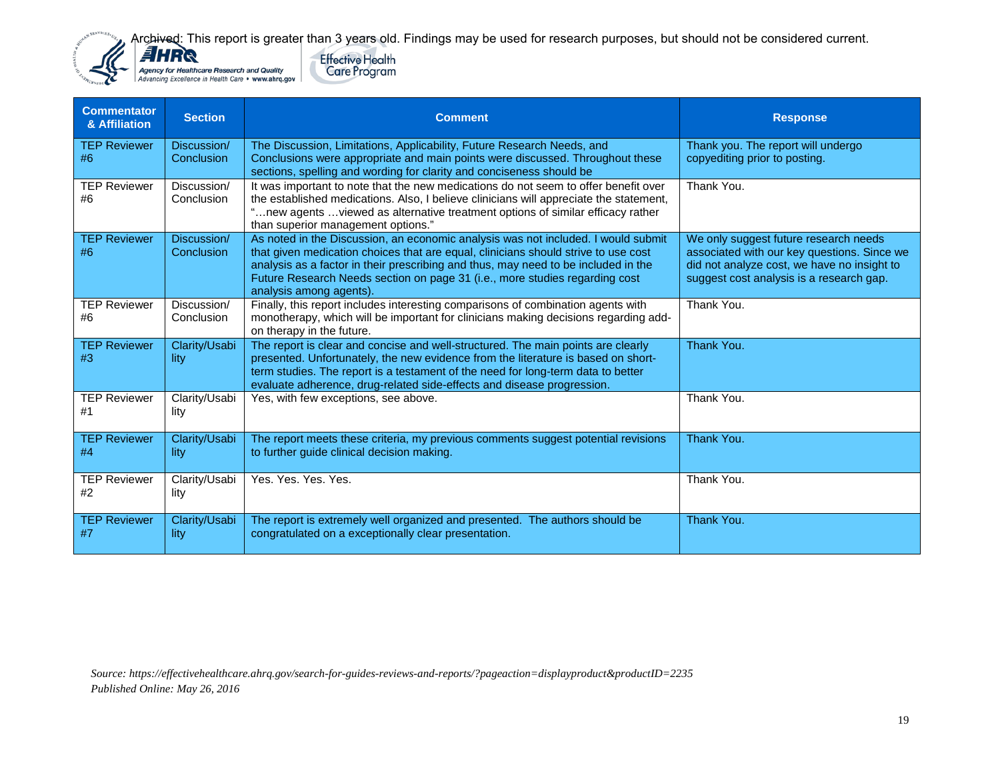**Effective Health** 

**Care Program**